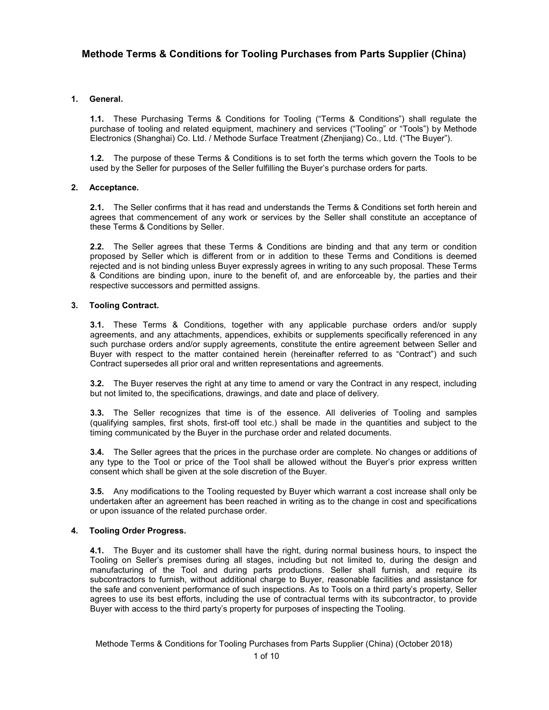# **1. General.**

**1.1.** These Purchasing Terms & Conditions for Tooling ("Terms & Conditions") shall regulate the purchase of tooling and related equipment, machinery and services ("Tooling" or "Tools") by Methode Electronics (Shanghai) Co. Ltd. / Methode Surface Treatment (Zhenjiang) Co., Ltd. ("The Buyer").

**1.2.** The purpose of these Terms & Conditions is to set forth the terms which govern the Tools to be used by the Seller for purposes of the Seller fulfilling the Buyer's purchase orders for parts.

# **2. Acceptance.**

**2.1.** The Seller confirms that it has read and understands the Terms & Conditions set forth herein and agrees that commencement of any work or services by the Seller shall constitute an acceptance of these Terms & Conditions by Seller.

**2.2.** The Seller agrees that these Terms & Conditions are binding and that any term or condition proposed by Seller which is different from or in addition to these Terms and Conditions is deemed rejected and is not binding unless Buyer expressly agrees in writing to any such proposal. These Terms & Conditions are binding upon, inure to the benefit of, and are enforceable by, the parties and their respective successors and permitted assigns.

# **3. Tooling Contract.**

**3.1.** These Terms & Conditions, together with any applicable purchase orders and/or supply agreements, and any attachments, appendices, exhibits or supplements specifically referenced in any such purchase orders and/or supply agreements, constitute the entire agreement between Seller and Buyer with respect to the matter contained herein (hereinafter referred to as "Contract") and such Contract supersedes all prior oral and written representations and agreements.

**3.2.** The Buyer reserves the right at any time to amend or vary the Contract in any respect, including but not limited to, the specifications, drawings, and date and place of delivery.

**3.3.** The Seller recognizes that time is of the essence. All deliveries of Tooling and samples (qualifying samples, first shots, first-off tool etc.) shall be made in the quantities and subject to the timing communicated by the Buyer in the purchase order and related documents.

**3.4.** The Seller agrees that the prices in the purchase order are complete. No changes or additions of any type to the Tool or price of the Tool shall be allowed without the Buyer's prior express written consent which shall be given at the sole discretion of the Buyer.

**3.5.** Any modifications to the Tooling requested by Buyer which warrant a cost increase shall only be undertaken after an agreement has been reached in writing as to the change in cost and specifications or upon issuance of the related purchase order.

# **4. Tooling Order Progress.**

**4.1.** The Buyer and its customer shall have the right, during normal business hours, to inspect the Tooling on Seller's premises during all stages, including but not limited to, during the design and manufacturing of the Tool and during parts productions. Seller shall furnish, and require its subcontractors to furnish, without additional charge to Buyer, reasonable facilities and assistance for the safe and convenient performance of such inspections. As to Tools on a third party's property, Seller agrees to use its best efforts, including the use of contractual terms with its subcontractor, to provide Buyer with access to the third party's property for purposes of inspecting the Tooling.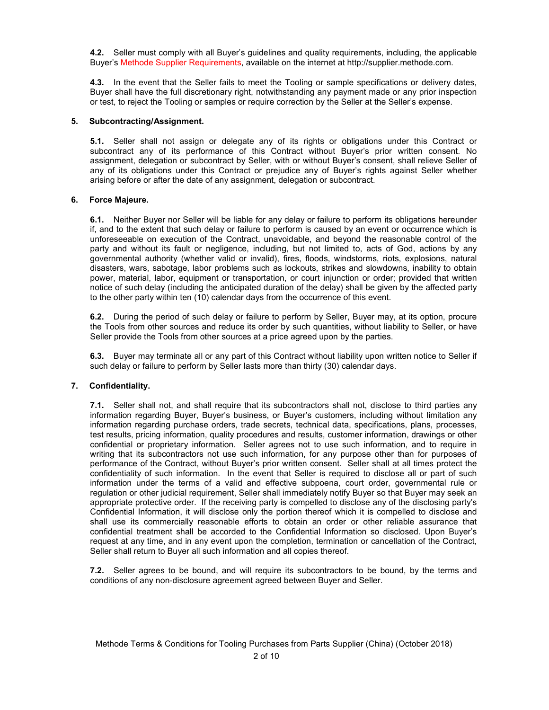**4.2.** Seller must comply with all Buyer's guidelines and quality requirements, including, the applicable Buyer's Methode Supplier Requirements, available on the internet at http://supplier.methode.com.

**4.3.** In the event that the Seller fails to meet the Tooling or sample specifications or delivery dates, Buyer shall have the full discretionary right, notwithstanding any payment made or any prior inspection or test, to reject the Tooling or samples or require correction by the Seller at the Seller's expense.

### **5. Subcontracting/Assignment.**

**5.1.** Seller shall not assign or delegate any of its rights or obligations under this Contract or subcontract any of its performance of this Contract without Buyer's prior written consent. No assignment, delegation or subcontract by Seller, with or without Buyer's consent, shall relieve Seller of any of its obligations under this Contract or prejudice any of Buyer's rights against Seller whether arising before or after the date of any assignment, delegation or subcontract.

### **6. Force Majeure.**

**6.1.** Neither Buyer nor Seller will be liable for any delay or failure to perform its obligations hereunder if, and to the extent that such delay or failure to perform is caused by an event or occurrence which is unforeseeable on execution of the Contract, unavoidable, and beyond the reasonable control of the party and without its fault or negligence, including, but not limited to, acts of God, actions by any governmental authority (whether valid or invalid), fires, floods, windstorms, riots, explosions, natural disasters, wars, sabotage, labor problems such as lockouts, strikes and slowdowns, inability to obtain power, material, labor, equipment or transportation, or court injunction or order; provided that written notice of such delay (including the anticipated duration of the delay) shall be given by the affected party to the other party within ten (10) calendar days from the occurrence of this event.

**6.2.** During the period of such delay or failure to perform by Seller, Buyer may, at its option, procure the Tools from other sources and reduce its order by such quantities, without liability to Seller, or have Seller provide the Tools from other sources at a price agreed upon by the parties.

**6.3.** Buyer may terminate all or any part of this Contract without liability upon written notice to Seller if such delay or failure to perform by Seller lasts more than thirty (30) calendar days.

# **7. Confidentiality.**

**7.1.** Seller shall not, and shall require that its subcontractors shall not, disclose to third parties any information regarding Buyer, Buyer's business, or Buyer's customers, including without limitation any information regarding purchase orders, trade secrets, technical data, specifications, plans, processes, test results, pricing information, quality procedures and results, customer information, drawings or other confidential or proprietary information. Seller agrees not to use such information, and to require in writing that its subcontractors not use such information, for any purpose other than for purposes of performance of the Contract, without Buyer's prior written consent. Seller shall at all times protect the confidentiality of such information. In the event that Seller is required to disclose all or part of such information under the terms of a valid and effective subpoena, court order, governmental rule or regulation or other judicial requirement, Seller shall immediately notify Buyer so that Buyer may seek an appropriate protective order. If the receiving party is compelled to disclose any of the disclosing party's Confidential Information, it will disclose only the portion thereof which it is compelled to disclose and shall use its commercially reasonable efforts to obtain an order or other reliable assurance that confidential treatment shall be accorded to the Confidential Information so disclosed. Upon Buyer's request at any time, and in any event upon the completion, termination or cancellation of the Contract, Seller shall return to Buyer all such information and all copies thereof.

**7.2.** Seller agrees to be bound, and will require its subcontractors to be bound, by the terms and conditions of any non-disclosure agreement agreed between Buyer and Seller.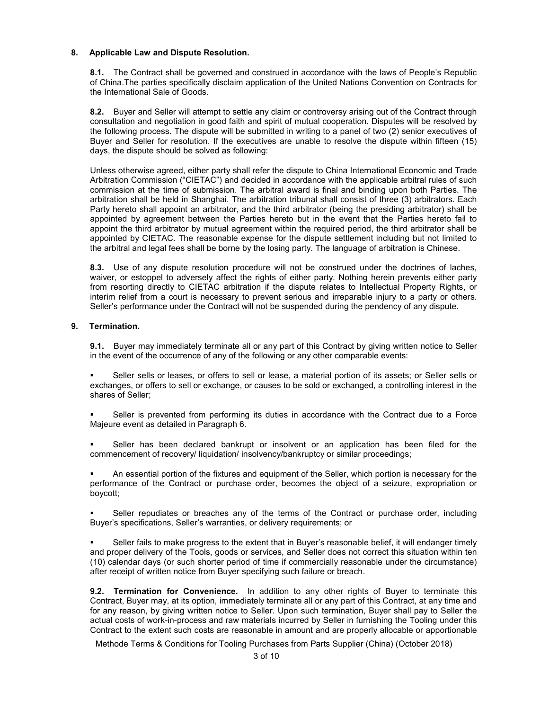### **8. Applicable Law and Dispute Resolution.**

**8.1.** The Contract shall be governed and construed in accordance with the laws of People's Republic of China.The parties specifically disclaim application of the United Nations Convention on Contracts for the International Sale of Goods.

**8.2.** Buyer and Seller will attempt to settle any claim or controversy arising out of the Contract through consultation and negotiation in good faith and spirit of mutual cooperation. Disputes will be resolved by the following process. The dispute will be submitted in writing to a panel of two (2) senior executives of Buyer and Seller for resolution. If the executives are unable to resolve the dispute within fifteen (15) days, the dispute should be solved as following:

Unless otherwise agreed, either party shall refer the dispute to China International Economic and Trade Arbitration Commission ("CIETAC") and decided in accordance with the applicable arbitral rules of such commission at the time of submission. The arbitral award is final and binding upon both Parties. The arbitration shall be held in Shanghai. The arbitration tribunal shall consist of three (3) arbitrators. Each Party hereto shall appoint an arbitrator, and the third arbitrator (being the presiding arbitrator) shall be appointed by agreement between the Parties hereto but in the event that the Parties hereto fail to appoint the third arbitrator by mutual agreement within the required period, the third arbitrator shall be appointed by CIETAC. The reasonable expense for the dispute settlement including but not limited to the arbitral and legal fees shall be borne by the losing party. The language of arbitration is Chinese.

**8.3.** Use of any dispute resolution procedure will not be construed under the doctrines of laches, waiver, or estoppel to adversely affect the rights of either party. Nothing herein prevents either party from resorting directly to CIETAC arbitration if the dispute relates to Intellectual Property Rights, or interim relief from a court is necessary to prevent serious and irreparable injury to a party or others. Seller's performance under the Contract will not be suspended during the pendency of any dispute.

### **9. Termination.**

**9.1.** Buyer may immediately terminate all or any part of this Contract by giving written notice to Seller in the event of the occurrence of any of the following or any other comparable events:

 Seller sells or leases, or offers to sell or lease, a material portion of its assets; or Seller sells or exchanges, or offers to sell or exchange, or causes to be sold or exchanged, a controlling interest in the shares of Seller;

 Seller is prevented from performing its duties in accordance with the Contract due to a Force Majeure event as detailed in Paragraph 6.

 Seller has been declared bankrupt or insolvent or an application has been filed for the commencement of recovery/ liquidation/ insolvency/bankruptcy or similar proceedings;

 An essential portion of the fixtures and equipment of the Seller, which portion is necessary for the performance of the Contract or purchase order, becomes the object of a seizure, expropriation or boycott;

 Seller repudiates or breaches any of the terms of the Contract or purchase order, including Buyer's specifications, Seller's warranties, or delivery requirements; or

 Seller fails to make progress to the extent that in Buyer's reasonable belief, it will endanger timely and proper delivery of the Tools, goods or services, and Seller does not correct this situation within ten (10) calendar days (or such shorter period of time if commercially reasonable under the circumstance) after receipt of written notice from Buyer specifying such failure or breach.

**9.2. Termination for Convenience.** In addition to any other rights of Buyer to terminate this Contract, Buyer may, at its option, immediately terminate all or any part of this Contract, at any time and for any reason, by giving written notice to Seller. Upon such termination, Buyer shall pay to Seller the actual costs of work-in-process and raw materials incurred by Seller in furnishing the Tooling under this Contract to the extent such costs are reasonable in amount and are properly allocable or apportionable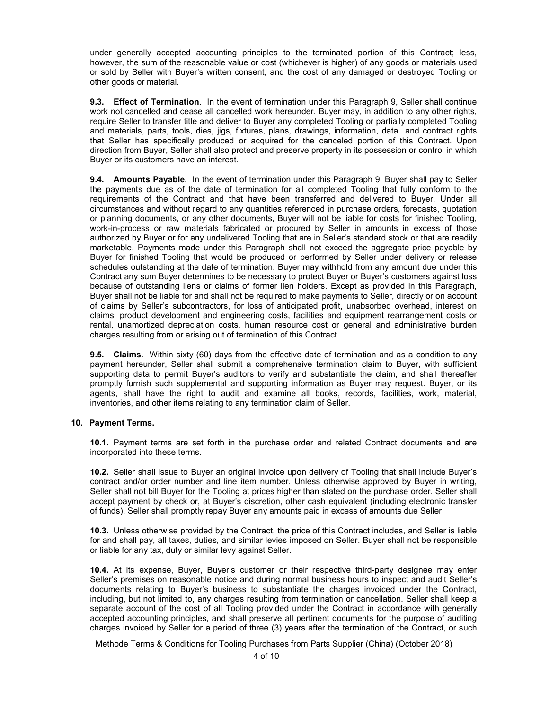under generally accepted accounting principles to the terminated portion of this Contract; less, however, the sum of the reasonable value or cost (whichever is higher) of any goods or materials used or sold by Seller with Buyer's written consent, and the cost of any damaged or destroyed Tooling or other goods or material.

**9.3. Effect of Termination**. In the event of termination under this Paragraph 9, Seller shall continue work not cancelled and cease all cancelled work hereunder. Buyer may, in addition to any other rights, require Seller to transfer title and deliver to Buyer any completed Tooling or partially completed Tooling and materials, parts, tools, dies, jigs, fixtures, plans, drawings, information, data and contract rights that Seller has specifically produced or acquired for the canceled portion of this Contract. Upon direction from Buyer, Seller shall also protect and preserve property in its possession or control in which Buyer or its customers have an interest.

**9.4. Amounts Payable.** In the event of termination under this Paragraph 9, Buyer shall pay to Seller the payments due as of the date of termination for all completed Tooling that fully conform to the requirements of the Contract and that have been transferred and delivered to Buyer. Under all circumstances and without regard to any quantities referenced in purchase orders, forecasts, quotation or planning documents, or any other documents, Buyer will not be liable for costs for finished Tooling, work-in-process or raw materials fabricated or procured by Seller in amounts in excess of those authorized by Buyer or for any undelivered Tooling that are in Seller's standard stock or that are readily marketable. Payments made under this Paragraph shall not exceed the aggregate price payable by Buyer for finished Tooling that would be produced or performed by Seller under delivery or release schedules outstanding at the date of termination. Buyer may withhold from any amount due under this Contract any sum Buyer determines to be necessary to protect Buyer or Buyer's customers against loss because of outstanding liens or claims of former lien holders. Except as provided in this Paragraph, Buyer shall not be liable for and shall not be required to make payments to Seller, directly or on account of claims by Seller's subcontractors, for loss of anticipated profit, unabsorbed overhead, interest on claims, product development and engineering costs, facilities and equipment rearrangement costs or rental, unamortized depreciation costs, human resource cost or general and administrative burden charges resulting from or arising out of termination of this Contract.

**9.5. Claims.** Within sixty (60) days from the effective date of termination and as a condition to any payment hereunder, Seller shall submit a comprehensive termination claim to Buyer, with sufficient supporting data to permit Buyer's auditors to verify and substantiate the claim, and shall thereafter promptly furnish such supplemental and supporting information as Buyer may request. Buyer, or its agents, shall have the right to audit and examine all books, records, facilities, work, material, inventories, and other items relating to any termination claim of Seller.

### **10. Payment Terms.**

**10.1.** Payment terms are set forth in the purchase order and related Contract documents and are incorporated into these terms.

**10.2.** Seller shall issue to Buyer an original invoice upon delivery of Tooling that shall include Buyer's contract and/or order number and line item number. Unless otherwise approved by Buyer in writing, Seller shall not bill Buyer for the Tooling at prices higher than stated on the purchase order. Seller shall accept payment by check or, at Buyer's discretion, other cash equivalent (including electronic transfer of funds). Seller shall promptly repay Buyer any amounts paid in excess of amounts due Seller.

**10.3.** Unless otherwise provided by the Contract, the price of this Contract includes, and Seller is liable for and shall pay, all taxes, duties, and similar levies imposed on Seller. Buyer shall not be responsible or liable for any tax, duty or similar levy against Seller.

**10.4.** At its expense, Buyer, Buyer's customer or their respective third-party designee may enter Seller's premises on reasonable notice and during normal business hours to inspect and audit Seller's documents relating to Buyer's business to substantiate the charges invoiced under the Contract, including, but not limited to, any charges resulting from termination or cancellation. Seller shall keep a separate account of the cost of all Tooling provided under the Contract in accordance with generally accepted accounting principles, and shall preserve all pertinent documents for the purpose of auditing charges invoiced by Seller for a period of three (3) years after the termination of the Contract, or such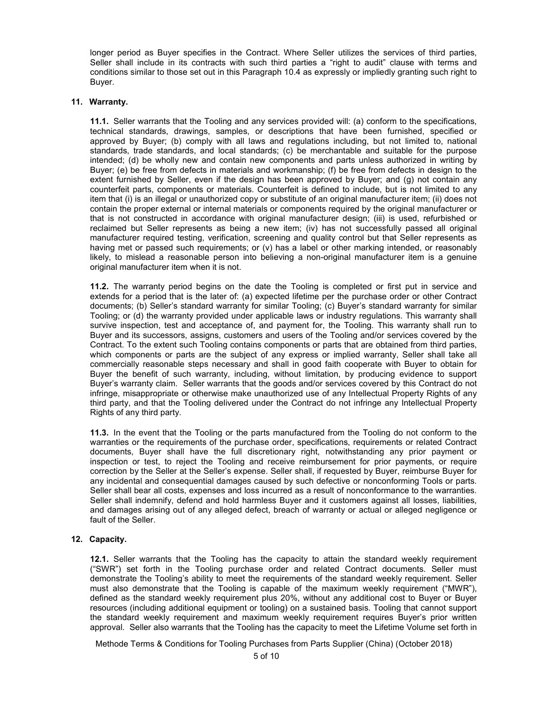longer period as Buyer specifies in the Contract. Where Seller utilizes the services of third parties, Seller shall include in its contracts with such third parties a "right to audit" clause with terms and conditions similar to those set out in this Paragraph 10.4 as expressly or impliedly granting such right to Buyer.

### **11. Warranty.**

**11.1.** Seller warrants that the Tooling and any services provided will: (a) conform to the specifications, technical standards, drawings, samples, or descriptions that have been furnished, specified or approved by Buyer; (b) comply with all laws and regulations including, but not limited to, national standards, trade standards, and local standards; (c) be merchantable and suitable for the purpose intended; (d) be wholly new and contain new components and parts unless authorized in writing by Buyer; (e) be free from defects in materials and workmanship; (f) be free from defects in design to the extent furnished by Seller, even if the design has been approved by Buyer; and (g) not contain any counterfeit parts, components or materials. Counterfeit is defined to include, but is not limited to any item that (i) is an illegal or unauthorized copy or substitute of an original manufacturer item; (ii) does not contain the proper external or internal materials or components required by the original manufacturer or that is not constructed in accordance with original manufacturer design; (iii) is used, refurbished or reclaimed but Seller represents as being a new item; (iv) has not successfully passed all original manufacturer required testing, verification, screening and quality control but that Seller represents as having met or passed such requirements; or (v) has a label or other marking intended, or reasonably likely, to mislead a reasonable person into believing a non-original manufacturer item is a genuine original manufacturer item when it is not.

**11.2.** The warranty period begins on the date the Tooling is completed or first put in service and extends for a period that is the later of: (a) expected lifetime per the purchase order or other Contract documents; (b) Seller's standard warranty for similar Tooling; (c) Buyer's standard warranty for similar Tooling; or (d) the warranty provided under applicable laws or industry regulations. This warranty shall survive inspection, test and acceptance of, and payment for, the Tooling. This warranty shall run to Buyer and its successors, assigns, customers and users of the Tooling and/or services covered by the Contract. To the extent such Tooling contains components or parts that are obtained from third parties, which components or parts are the subject of any express or implied warranty, Seller shall take all commercially reasonable steps necessary and shall in good faith cooperate with Buyer to obtain for Buyer the benefit of such warranty, including, without limitation, by producing evidence to support Buyer's warranty claim. Seller warrants that the goods and/or services covered by this Contract do not infringe, misappropriate or otherwise make unauthorized use of any Intellectual Property Rights of any third party, and that the Tooling delivered under the Contract do not infringe any Intellectual Property Rights of any third party.

**11.3.** In the event that the Tooling or the parts manufactured from the Tooling do not conform to the warranties or the requirements of the purchase order, specifications, requirements or related Contract documents, Buyer shall have the full discretionary right, notwithstanding any prior payment or inspection or test, to reject the Tooling and receive reimbursement for prior payments, or require correction by the Seller at the Seller's expense. Seller shall, if requested by Buyer, reimburse Buyer for any incidental and consequential damages caused by such defective or nonconforming Tools or parts. Seller shall bear all costs, expenses and loss incurred as a result of nonconformance to the warranties. Seller shall indemnify, defend and hold harmless Buyer and it customers against all losses, liabilities, and damages arising out of any alleged defect, breach of warranty or actual or alleged negligence or fault of the Seller.

# **12. Capacity.**

**12.1.** Seller warrants that the Tooling has the capacity to attain the standard weekly requirement ("SWR") set forth in the Tooling purchase order and related Contract documents. Seller must demonstrate the Tooling's ability to meet the requirements of the standard weekly requirement. Seller must also demonstrate that the Tooling is capable of the maximum weekly requirement ("MWR"), defined as the standard weekly requirement plus 20%, without any additional cost to Buyer or Buyer resources (including additional equipment or tooling) on a sustained basis. Tooling that cannot support the standard weekly requirement and maximum weekly requirement requires Buyer's prior written approval. Seller also warrants that the Tooling has the capacity to meet the Lifetime Volume set forth in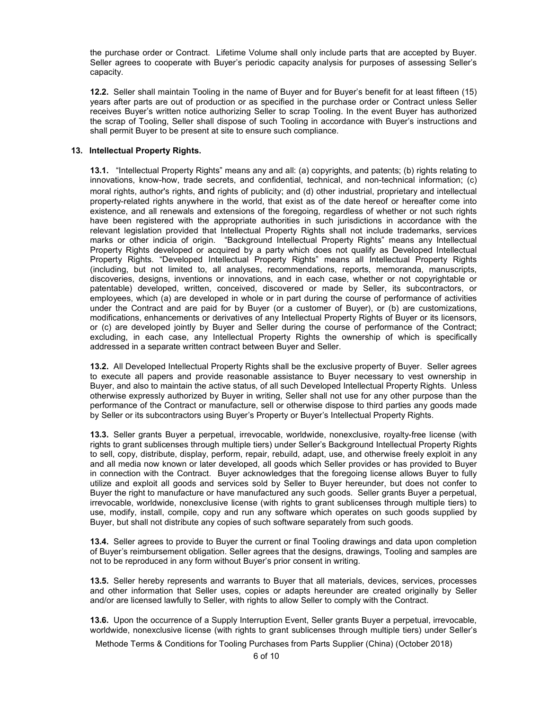the purchase order or Contract. Lifetime Volume shall only include parts that are accepted by Buyer. Seller agrees to cooperate with Buyer's periodic capacity analysis for purposes of assessing Seller's capacity.

**12.2.** Seller shall maintain Tooling in the name of Buyer and for Buyer's benefit for at least fifteen (15) years after parts are out of production or as specified in the purchase order or Contract unless Seller receives Buyer's written notice authorizing Seller to scrap Tooling. In the event Buyer has authorized the scrap of Tooling, Seller shall dispose of such Tooling in accordance with Buyer's instructions and shall permit Buyer to be present at site to ensure such compliance.

### **13. Intellectual Property Rights.**

**13.1.** "Intellectual Property Rights" means any and all: (a) copyrights, and patents; (b) rights relating to innovations, know-how, trade secrets, and confidential, technical, and non-technical information; (c) moral rights, author's rights, and rights of publicity; and (d) other industrial, proprietary and intellectual property-related rights anywhere in the world, that exist as of the date hereof or hereafter come into existence, and all renewals and extensions of the foregoing, regardless of whether or not such rights have been registered with the appropriate authorities in such jurisdictions in accordance with the relevant legislation provided that Intellectual Property Rights shall not include trademarks, services marks or other indicia of origin. "Background Intellectual Property Rights" means any Intellectual Property Rights developed or acquired by a party which does not qualify as Developed Intellectual Property Rights. "Developed Intellectual Property Rights" means all Intellectual Property Rights (including, but not limited to, all analyses, recommendations, reports, memoranda, manuscripts, discoveries, designs, inventions or innovations, and in each case, whether or not copyrightable or patentable) developed, written, conceived, discovered or made by Seller, its subcontractors, or employees, which (a) are developed in whole or in part during the course of performance of activities under the Contract and are paid for by Buyer (or a customer of Buyer), or (b) are customizations, modifications, enhancements or derivatives of any Intellectual Property Rights of Buyer or its licensors, or (c) are developed jointly by Buyer and Seller during the course of performance of the Contract; excluding, in each case, any Intellectual Property Rights the ownership of which is specifically addressed in a separate written contract between Buyer and Seller.

**13.2.** All Developed Intellectual Property Rights shall be the exclusive property of Buyer. Seller agrees to execute all papers and provide reasonable assistance to Buyer necessary to vest ownership in Buyer, and also to maintain the active status, of all such Developed Intellectual Property Rights. Unless otherwise expressly authorized by Buyer in writing, Seller shall not use for any other purpose than the performance of the Contract or manufacture, sell or otherwise dispose to third parties any goods made by Seller or its subcontractors using Buyer's Property or Buyer's Intellectual Property Rights.

**13.3.** Seller grants Buyer a perpetual, irrevocable, worldwide, nonexclusive, royalty-free license (with rights to grant sublicenses through multiple tiers) under Seller's Background Intellectual Property Rights to sell, copy, distribute, display, perform, repair, rebuild, adapt, use, and otherwise freely exploit in any and all media now known or later developed, all goods which Seller provides or has provided to Buyer in connection with the Contract. Buyer acknowledges that the foregoing license allows Buyer to fully utilize and exploit all goods and services sold by Seller to Buyer hereunder, but does not confer to Buyer the right to manufacture or have manufactured any such goods. Seller grants Buyer a perpetual, irrevocable, worldwide, nonexclusive license (with rights to grant sublicenses through multiple tiers) to use, modify, install, compile, copy and run any software which operates on such goods supplied by Buyer, but shall not distribute any copies of such software separately from such goods.

**13.4.** Seller agrees to provide to Buyer the current or final Tooling drawings and data upon completion of Buyer's reimbursement obligation. Seller agrees that the designs, drawings, Tooling and samples are not to be reproduced in any form without Buyer's prior consent in writing.

**13.5.** Seller hereby represents and warrants to Buyer that all materials, devices, services, processes and other information that Seller uses, copies or adapts hereunder are created originally by Seller and/or are licensed lawfully to Seller, with rights to allow Seller to comply with the Contract.

**13.6.** Upon the occurrence of a Supply Interruption Event, Seller grants Buyer a perpetual, irrevocable, worldwide, nonexclusive license (with rights to grant sublicenses through multiple tiers) under Seller's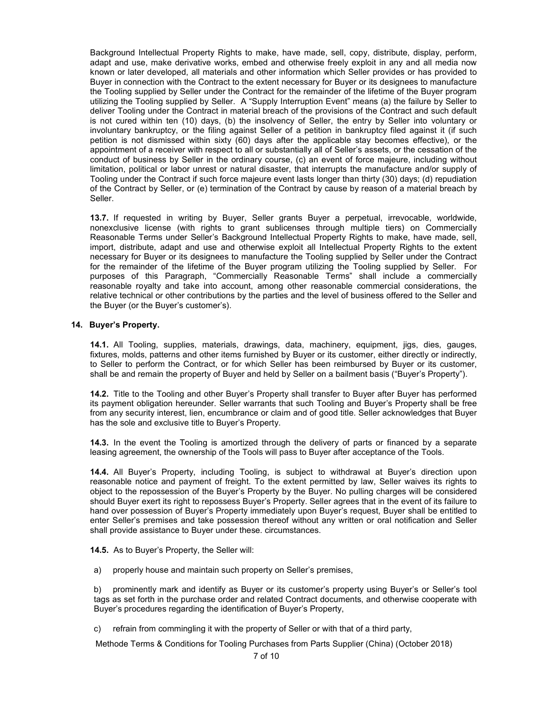Background Intellectual Property Rights to make, have made, sell, copy, distribute, display, perform, adapt and use, make derivative works, embed and otherwise freely exploit in any and all media now known or later developed, all materials and other information which Seller provides or has provided to Buyer in connection with the Contract to the extent necessary for Buyer or its designees to manufacture the Tooling supplied by Seller under the Contract for the remainder of the lifetime of the Buyer program utilizing the Tooling supplied by Seller. A "Supply Interruption Event" means (a) the failure by Seller to deliver Tooling under the Contract in material breach of the provisions of the Contract and such default is not cured within ten (10) days, (b) the insolvency of Seller, the entry by Seller into voluntary or involuntary bankruptcy, or the filing against Seller of a petition in bankruptcy filed against it (if such petition is not dismissed within sixty (60) days after the applicable stay becomes effective), or the appointment of a receiver with respect to all or substantially all of Seller's assets, or the cessation of the conduct of business by Seller in the ordinary course, (c) an event of force majeure, including without limitation, political or labor unrest or natural disaster, that interrupts the manufacture and/or supply of Tooling under the Contract if such force majeure event lasts longer than thirty (30) days; (d) repudiation of the Contract by Seller, or (e) termination of the Contract by cause by reason of a material breach by Seller.

**13.7.** If requested in writing by Buyer, Seller grants Buyer a perpetual, irrevocable, worldwide, nonexclusive license (with rights to grant sublicenses through multiple tiers) on Commercially Reasonable Terms under Seller's Background Intellectual Property Rights to make, have made, sell, import, distribute, adapt and use and otherwise exploit all Intellectual Property Rights to the extent necessary for Buyer or its designees to manufacture the Tooling supplied by Seller under the Contract for the remainder of the lifetime of the Buyer program utilizing the Tooling supplied by Seller. For purposes of this Paragraph, "Commercially Reasonable Terms" shall include a commercially reasonable royalty and take into account, among other reasonable commercial considerations, the relative technical or other contributions by the parties and the level of business offered to the Seller and the Buyer (or the Buyer's customer's).

### **14. Buyer's Property.**

**14.1.** All Tooling, supplies, materials, drawings, data, machinery, equipment, jigs, dies, gauges, fixtures, molds, patterns and other items furnished by Buyer or its customer, either directly or indirectly, to Seller to perform the Contract, or for which Seller has been reimbursed by Buyer or its customer, shall be and remain the property of Buyer and held by Seller on a bailment basis ("Buyer's Property").

**14.2.** Title to the Tooling and other Buyer's Property shall transfer to Buyer after Buyer has performed its payment obligation hereunder. Seller warrants that such Tooling and Buyer's Property shall be free from any security interest, lien, encumbrance or claim and of good title. Seller acknowledges that Buyer has the sole and exclusive title to Buyer's Property.

**14.3.** In the event the Tooling is amortized through the delivery of parts or financed by a separate leasing agreement, the ownership of the Tools will pass to Buyer after acceptance of the Tools.

**14.4.** All Buyer's Property, including Tooling, is subject to withdrawal at Buyer's direction upon reasonable notice and payment of freight. To the extent permitted by law, Seller waives its rights to object to the repossession of the Buyer's Property by the Buyer. No pulling charges will be considered should Buyer exert its right to repossess Buyer's Property. Seller agrees that in the event of its failure to hand over possession of Buyer's Property immediately upon Buyer's request, Buyer shall be entitled to enter Seller's premises and take possession thereof without any written or oral notification and Seller shall provide assistance to Buyer under these. circumstances.

**14.5.** As to Buyer's Property, the Seller will:

a) properly house and maintain such property on Seller's premises,

b) prominently mark and identify as Buyer or its customer's property using Buyer's or Seller's tool tags as set forth in the purchase order and related Contract documents, and otherwise cooperate with Buyer's procedures regarding the identification of Buyer's Property,

c) refrain from commingling it with the property of Seller or with that of a third party,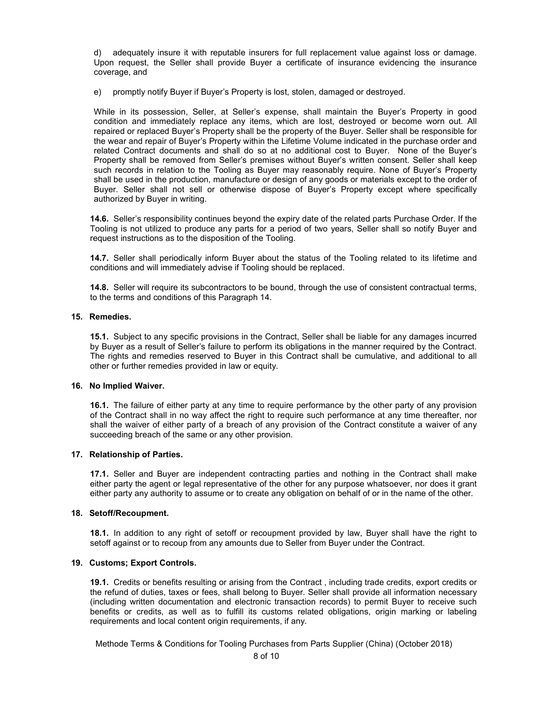d) adequately insure it with reputable insurers for full replacement value against loss or damage. Upon request, the Seller shall provide Buyer a certificate of insurance evidencing the insurance coverage, and

e) promptly notify Buyer if Buyer's Property is lost, stolen, damaged or destroyed.

While in its possession, Seller, at Seller's expense, shall maintain the Buyer's Property in good condition and immediately replace any items, which are lost, destroyed or become worn out. All repaired or replaced Buyer's Property shall be the property of the Buyer. Seller shall be responsible for the wear and repair of Buyer's Property within the Lifetime Volume indicated in the purchase order and related Contract documents and shall do so at no additional cost to Buyer. None of the Buyer's Property shall be removed from Seller's premises without Buyer's written consent. Seller shall keep such records in relation to the Tooling as Buyer may reasonably require. None of Buyer's Property shall be used in the production, manufacture or design of any goods or materials except to the order of Buyer. Seller shall not sell or otherwise dispose of Buyer's Property except where specifically authorized by Buyer in writing.

**14.6.** Seller's responsibility continues beyond the expiry date of the related parts Purchase Order. If the Tooling is not utilized to produce any parts for a period of two years, Seller shall so notify Buyer and request instructions as to the disposition of the Tooling.

**14.7.** Seller shall periodically inform Buyer about the status of the Tooling related to its lifetime and conditions and will immediately advise if Tooling should be replaced.

**14.8.** Seller will require its subcontractors to be bound, through the use of consistent contractual terms, to the terms and conditions of this Paragraph 14.

### **15. Remedies.**

**15.1.** Subject to any specific provisions in the Contract, Seller shall be liable for any damages incurred by Buyer as a result of Seller's failure to perform its obligations in the manner required by the Contract. The rights and remedies reserved to Buyer in this Contract shall be cumulative, and additional to all other or further remedies provided in law or equity.

### **16. No Implied Waiver.**

**16.1.** The failure of either party at any time to require performance by the other party of any provision of the Contract shall in no way affect the right to require such performance at any time thereafter, nor shall the waiver of either party of a breach of any provision of the Contract constitute a waiver of any succeeding breach of the same or any other provision.

### **17. Relationship of Parties.**

**17.1.** Seller and Buyer are independent contracting parties and nothing in the Contract shall make either party the agent or legal representative of the other for any purpose whatsoever, nor does it grant either party any authority to assume or to create any obligation on behalf of or in the name of the other.

### **18. Setoff/Recoupment.**

**18.1.** In addition to any right of setoff or recoupment provided by law, Buyer shall have the right to setoff against or to recoup from any amounts due to Seller from Buyer under the Contract.

### **19. Customs; Export Controls.**

**19.1.** Credits or benefits resulting or arising from the Contract , including trade credits, export credits or the refund of duties, taxes or fees, shall belong to Buyer. Seller shall provide all information necessary (including written documentation and electronic transaction records) to permit Buyer to receive such benefits or credits, as well as to fulfill its customs related obligations, origin marking or labeling requirements and local content origin requirements, if any.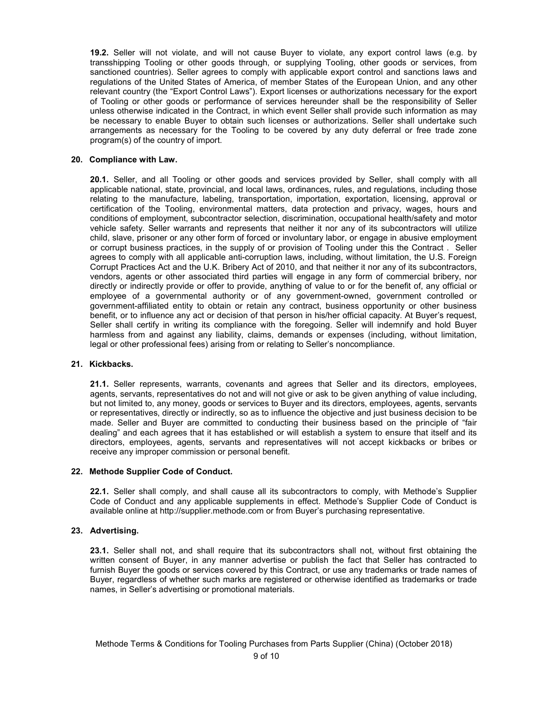**19.2.** Seller will not violate, and will not cause Buyer to violate, any export control laws (e.g. by transshipping Tooling or other goods through, or supplying Tooling, other goods or services, from sanctioned countries). Seller agrees to comply with applicable export control and sanctions laws and regulations of the United States of America, of member States of the European Union, and any other relevant country (the "Export Control Laws"). Export licenses or authorizations necessary for the export of Tooling or other goods or performance of services hereunder shall be the responsibility of Seller unless otherwise indicated in the Contract, in which event Seller shall provide such information as may be necessary to enable Buyer to obtain such licenses or authorizations. Seller shall undertake such arrangements as necessary for the Tooling to be covered by any duty deferral or free trade zone program(s) of the country of import.

### **20. Compliance with Law.**

**20.1.** Seller, and all Tooling or other goods and services provided by Seller, shall comply with all applicable national, state, provincial, and local laws, ordinances, rules, and regulations, including those relating to the manufacture, labeling, transportation, importation, exportation, licensing, approval or certification of the Tooling, environmental matters, data protection and privacy, wages, hours and conditions of employment, subcontractor selection, discrimination, occupational health/safety and motor vehicle safety. Seller warrants and represents that neither it nor any of its subcontractors will utilize child, slave, prisoner or any other form of forced or involuntary labor, or engage in abusive employment or corrupt business practices, in the supply of or provision of Tooling under this the Contract . Seller agrees to comply with all applicable anti-corruption laws, including, without limitation, the U.S. Foreign Corrupt Practices Act and the U.K. Bribery Act of 2010, and that neither it nor any of its subcontractors, vendors, agents or other associated third parties will engage in any form of commercial bribery, nor directly or indirectly provide or offer to provide, anything of value to or for the benefit of, any official or employee of a governmental authority or of any government-owned, government controlled or government-affiliated entity to obtain or retain any contract, business opportunity or other business benefit, or to influence any act or decision of that person in his/her official capacity. At Buyer's request, Seller shall certify in writing its compliance with the foregoing. Seller will indemnify and hold Buyer harmless from and against any liability, claims, demands or expenses (including, without limitation, legal or other professional fees) arising from or relating to Seller's noncompliance.

### **21. Kickbacks.**

**21.1.** Seller represents, warrants, covenants and agrees that Seller and its directors, employees, agents, servants, representatives do not and will not give or ask to be given anything of value including, but not limited to, any money, goods or services to Buyer and its directors, employees, agents, servants or representatives, directly or indirectly, so as to influence the objective and just business decision to be made. Seller and Buyer are committed to conducting their business based on the principle of "fair dealing" and each agrees that it has established or will establish a system to ensure that itself and its directors, employees, agents, servants and representatives will not accept kickbacks or bribes or receive any improper commission or personal benefit.

### **22. Methode Supplier Code of Conduct.**

**22.1.** Seller shall comply, and shall cause all its subcontractors to comply, with Methode's Supplier Code of Conduct and any applicable supplements in effect. Methode's Supplier Code of Conduct is available online at http://supplier.methode.com or from Buyer's purchasing representative.

### **23. Advertising.**

**23.1.** Seller shall not, and shall require that its subcontractors shall not, without first obtaining the written consent of Buyer, in any manner advertise or publish the fact that Seller has contracted to furnish Buyer the goods or services covered by this Contract, or use any trademarks or trade names of Buyer, regardless of whether such marks are registered or otherwise identified as trademarks or trade names, in Seller's advertising or promotional materials.